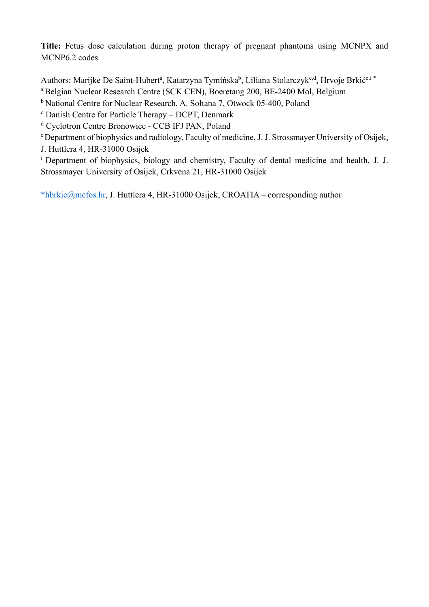**Title:** Fetus dose calculation during proton therapy of pregnant phantoms using MCNPX and MCNP6.2 codes

Authors: Marijke De Saint-Hubert<sup>a</sup>, Katarzyna Tymińska<sup>b</sup>, Liliana Stolarczyk<sup>c,d</sup>, Hrvoje Brkić<sup>e,f\*</sup> <sup>a</sup> Belgian Nuclear Research Centre (SCK CEN), Boeretang 200, BE-2400 Mol, Belgium

<sup>b</sup> National Centre for Nuclear Research, A. Sołtana 7, Otwock 05-400, Poland

<sup>c</sup> Danish Centre for Particle Therapy - DCPT, Denmark

<sup>d</sup> Cyclotron Centre Bronowice - CCB IFJ PAN, Poland

<sup>e</sup>Department of biophysics and radiology, Faculty of medicine, J. J. Strossmayer University of Osijek,

J. Huttlera 4, HR-31000 Osijek

<sup>f</sup>Department of biophysics, biology and chemistry, Faculty of dental medicine and health, J. J. Strossmayer University of Osijek, Crkvena 21, HR-31000 Osijek

\*hbrkic@mefos.hr, J. Huttlera 4, HR-31000 Osijek, CROATIA – corresponding author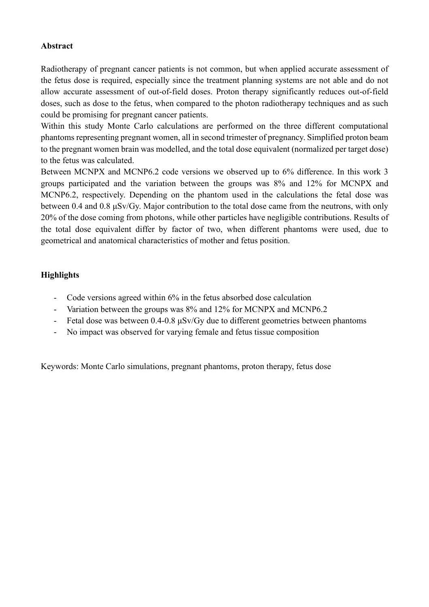## **Abstract**

Radiotherapy of pregnant cancer patients is not common, but when applied accurate assessment of the fetus dose is required, especially since the treatment planning systems are not able and do not allow accurate assessment of out-of-field doses. Proton therapy significantly reduces out-of-field doses, such as dose to the fetus, when compared to the photon radiotherapy techniques and as such could be promising for pregnant cancer patients.

Within this study Monte Carlo calculations are performed on the three different computational phantoms representing pregnant women, all in second trimester of pregnancy. Simplified proton beam to the pregnant women brain was modelled, and the total dose equivalent (normalized per target dose) to the fetus was calculated.

Between MCNPX and MCNP6.2 code versions we observed up to 6% difference. In this work 3 groups participated and the variation between the groups was 8% and 12% for MCNPX and MCNP6.2, respectively. Depending on the phantom used in the calculations the fetal dose was between 0.4 and 0.8 μSv/Gy. Major contribution to the total dose came from the neutrons, with only 20% of the dose coming from photons, while other particles have negligible contributions. Results of the total dose equivalent differ by factor of two, when different phantoms were used, due to geometrical and anatomical characteristics of mother and fetus position.

## **Highlights**

- Code versions agreed within 6% in the fetus absorbed dose calculation
- Variation between the groups was 8% and 12% for MCNPX and MCNP6.2
- Fetal dose was between 0.4-0.8 μSv/Gy due to different geometries between phantoms
- No impact was observed for varying female and fetus tissue composition

Keywords: Monte Carlo simulations, pregnant phantoms, proton therapy, fetus dose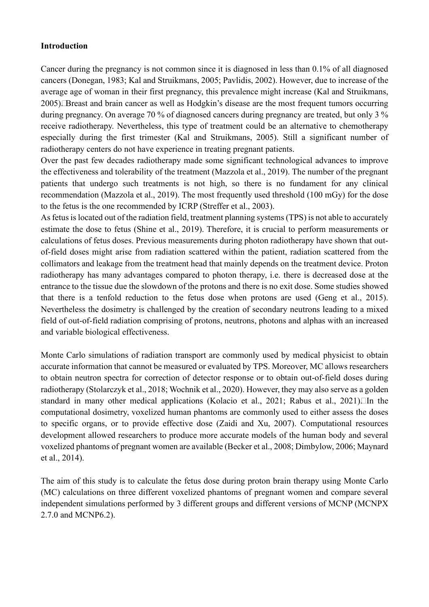### **Introduction**

Cancer during the pregnancy is not common since it is diagnosed in less than 0.1% of all diagnosed cancers (Donegan, 1983; Kal and Struikmans, 2005; Pavlidis, 2002). However, due to increase of the average age of woman in their first pregnancy, this prevalence might increase (Kal and Struikmans, 2005) Ereast and brain cancer as well as Hodgkin's disease are the most frequent tumors occurring during pregnancy. On average 70 % of diagnosed cancers during pregnancy are treated, but only 3 % receive radiotherapy. Nevertheless, this type of treatment could be an alternative to chemotherapy especially during the first trimester (Kal and Struikmans, 2005). Still a significant number of radiotherapy centers do not have experience in treating pregnant patients.

Over the past few decades radiotherapy made some significant technological advances to improve the effectiveness and tolerability of the treatment (Mazzola et al., 2019). The number of the pregnant patients that undergo such treatments is not high, so there is no fundament for any clinical recommendation (Mazzola et al., 2019). The most frequently used threshold (100 mGy) for the dose to the fetus is the one recommended by ICRP (Streffer et al., 2003).

As fetus is located out of the radiation field, treatment planning systems (TPS) is not able to accurately estimate the dose to fetus (Shine et al., 2019). Therefore, it is crucial to perform measurements or calculations of fetus doses. Previous measurements during photon radiotherapy have shown that outof-field doses might arise from radiation scattered within the patient, radiation scattered from the collimators and leakage from the treatment head that mainly depends on the treatment device. Proton radiotherapy has many advantages compared to photon therapy, i.e. there is decreased dose at the entrance to the tissue due the slowdown of the protons and there is no exit dose. Some studies showed that there is a tenfold reduction to the fetus dose when protons are used (Geng et al., 2015). Nevertheless the dosimetry is challenged by the creation of secondary neutrons leading to a mixed field of out-of-field radiation comprising of protons, neutrons, photons and alphas with an increased and variable biological effectiveness.

Monte Carlo simulations of radiation transport are commonly used by medical physicist to obtain accurate information that cannot be measured or evaluated by TPS. Moreover, MC allows researchers to obtain neutron spectra for correction of detector response or to obtain out-of-field doses during radiotherapy (Stolarczyk et al., 2018; Wochnik et al., 2020). However, they may also serve as a golden standard in many other medical applications (Kolacio et al., 2021; Rabus et al., 2021) $\Box$ In the computational dosimetry, voxelized human phantoms are commonly used to either assess the doses to specific organs, or to provide effective dose (Zaidi and Xu, 2007). Computational resources development allowed researchers to produce more accurate models of the human body and several voxelized phantoms of pregnant women are available (Becker et al., 2008; Dimbylow, 2006; Maynard et al., 2014).

The aim of this study is to calculate the fetus dose during proton brain therapy using Monte Carlo (MC) calculations on three different voxelized phantoms of pregnant women and compare several independent simulations performed by 3 different groups and different versions of MCNP (MCNPX 2.7.0 and MCNP6.2).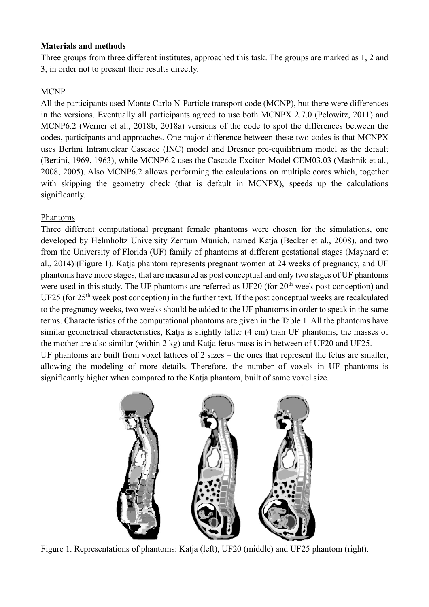### **Materials and methods**

Three groups from three different institutes, approached this task. The groups are marked as 1, 2 and 3, in order not to present their results directly.

## **MCNP**

All the participants used Monte Carlo N-Particle transport code (MCNP), but there were differences in the versions. Eventually all participants agreed to use both MCNPX 2.7.0 (Pelowitz, 2011) $\alpha$ MCNP6.2 (Werner et al., 2018b, 2018a) versions of the code to spot the differences between the codes, participants and approaches. One major difference between these two codes is that MCNPX uses Bertini Intranuclear Cascade (INC) model and Dresner pre-equilibrium model as the default (Bertini, 1969, 1963), while MCNP6.2 uses the Cascade-Exciton Model CEM03.03 (Mashnik et al., 2008, 2005). Also MCNP6.2 allows performing the calculations on multiple cores which, together with skipping the geometry check (that is default in MCNPX), speeds up the calculations significantly.

## Phantoms

Three different computational pregnant female phantoms were chosen for the simulations, one developed by Helmholtz University Zentum Münich, named Katja (Becker et al., 2008), and two from the University of Florida (UF) family of phantoms at different gestational stages (Maynard et al., 2014) (Figure 1). Katja phantom represents pregnant women at 24 weeks of pregnancy, and UF phantoms have more stages, that are measured as post conceptual and only two stages of UF phantoms were used in this study. The UF phantoms are referred as UF20 (for  $20<sup>th</sup>$  week post conception) and UF25 (for  $25<sup>th</sup>$  week post conception) in the further text. If the post conceptual weeks are recalculated to the pregnancy weeks, two weeks should be added to the UF phantoms in order to speak in the same terms. Characteristics of the computational phantoms are given in the Table 1. All the phantoms have similar geometrical characteristics, Katja is slightly taller (4 cm) than UF phantoms, the masses of the mother are also similar (within 2 kg) and Katja fetus mass is in between of UF20 and UF25. UF phantoms are built from voxel lattices of 2 sizes – the ones that represent the fetus are smaller, allowing the modeling of more details. Therefore, the number of voxels in UF phantoms is



significantly higher when compared to the Katja phantom, built of same voxel size.

Figure 1. Representations of phantoms: Katja (left), UF20 (middle) and UF25 phantom (right).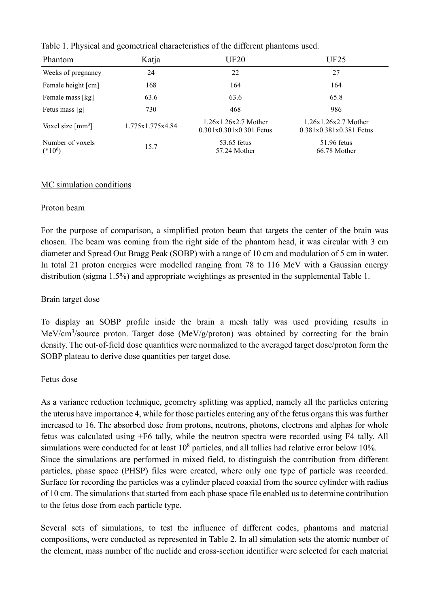|  |  |  | Table 1. Physical and geometrical characteristics of the different phantoms used. |
|--|--|--|-----------------------------------------------------------------------------------|
|  |  |  |                                                                                   |

| Phantom                         | Katja            | <b>UF20</b>                                         | UF25                                                |
|---------------------------------|------------------|-----------------------------------------------------|-----------------------------------------------------|
| Weeks of pregnancy              | 24               | 22                                                  | 27                                                  |
| Female height [cm]              | 168              | 164                                                 | 164                                                 |
| Female mass [kg]                | 63.6             | 63.6                                                | 65.8                                                |
| Fetus mass [g]                  | 730              | 468                                                 | 986                                                 |
| Voxel size $\lceil mm^3 \rceil$ | 1.775x1.775x4.84 | $1.26x1.26x2.7$ Mother<br>$0.301x0.301x0.301$ Fetus | $1.26x1.26x2.7$ Mother<br>$0.381x0.381x0.381$ Fetus |
| Number of voxels<br>$(*10^6)$   | 15.7             | 53.65 fetus<br>57.24 Mother                         | $51.96$ fetus<br>66.78 Mother                       |

#### MC simulation conditions

#### Proton beam

For the purpose of comparison, a simplified proton beam that targets the center of the brain was chosen. The beam was coming from the right side of the phantom head, it was circular with 3 cm diameter and Spread Out Bragg Peak (SOBP) with a range of 10 cm and modulation of 5 cm in water. In total 21 proton energies were modelled ranging from 78 to 116 MeV with a Gaussian energy distribution (sigma 1.5%) and appropriate weightings as presented in the supplemental Table 1.

### Brain target dose

To display an SOBP profile inside the brain a mesh tally was used providing results in MeV/cm<sup>3</sup>/source proton. Target dose (MeV/g/proton) was obtained by correcting for the brain density. The out-of-field dose quantities were normalized to the averaged target dose/proton form the SOBP plateau to derive dose quantities per target dose.

#### Fetus dose

As a variance reduction technique, geometry splitting was applied, namely all the particles entering the uterus have importance 4, while for those particles entering any of the fetus organs this was further increased to 16. The absorbed dose from protons, neutrons, photons, electrons and alphas for whole fetus was calculated using +F6 tally, while the neutron spectra were recorded using F4 tally. All simulations were conducted for at least  $10^8$  particles, and all tallies had relative error below 10%. Since the simulations are performed in mixed field, to distinguish the contribution from different particles, phase space (PHSP) files were created, where only one type of particle was recorded. Surface for recording the particles was a cylinder placed coaxial from the source cylinder with radius of 10 cm. The simulations that started from each phase space file enabled us to determine contribution to the fetus dose from each particle type.

Several sets of simulations, to test the influence of different codes, phantoms and material compositions, were conducted as represented in Table 2. In all simulation sets the atomic number of the element, mass number of the nuclide and cross-section identifier were selected for each material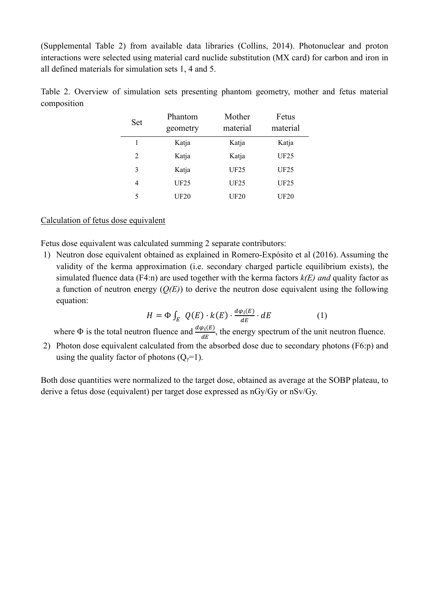(Supplemental Table 2) from available data libraries (Collins, 2014). Photonuclear and proton interactions were selected using material card nuclide substitution (MX card) for carbon and iron in all defined materials for simulation sets 1, 4 and 5.

| Set | Phantom<br>geometry | Mother<br>material | Fetus<br>material |
|-----|---------------------|--------------------|-------------------|
| 1   | Katja               | Katja              | Katja             |
| 2   | Katja               | Katja              | UF25              |
| 3   | Katja               | <b>UF25</b>        | UF25              |
| 4   | UF25                | UF25               | UF25              |
| 5   | <b>UF20</b>         | UF20               | <b>UF20</b>       |

Table 2. Overview of simulation sets presenting phantom geometry, mother and fetus material composition

#### Calculation of fetus dose equivalent

Fetus dose equivalent was calculated summing 2 separate contributors:

1) Neutron dose equivalent obtained as explained in Romero‐Expósito et al (2016). Assuming the validity of the kerma approximation (i.e. secondary charged particle equilibrium exists), the simulated fluence data (F4:n) are used together with the kerma factors *k(E) and* quality factor as a function of neutron energy (*Q(E)*) to derive the neutron dose equivalent using the following equation:

$$
H = \Phi \int_{E} Q(E) \cdot k(E) \cdot \frac{d\varphi_{i}(E)}{dE} \cdot dE \tag{1}
$$

where  $\Phi$  is the total neutron fluence and  $\frac{d\varphi_i(E)}{dE}$  $\frac{\partial f(L)}{\partial E}$ , the energy spectrum of the unit neutron fluence.

2) Photon dose equivalent calculated from the absorbed dose due to secondary photons (F6:p) and using the quality factor of photons  $(Q_{\gamma}=1)$ .

Both dose quantities were normalized to the target dose, obtained as average at the SOBP plateau, to derive a fetus dose (equivalent) per target dose expressed as nGy/Gy or nSv/Gy.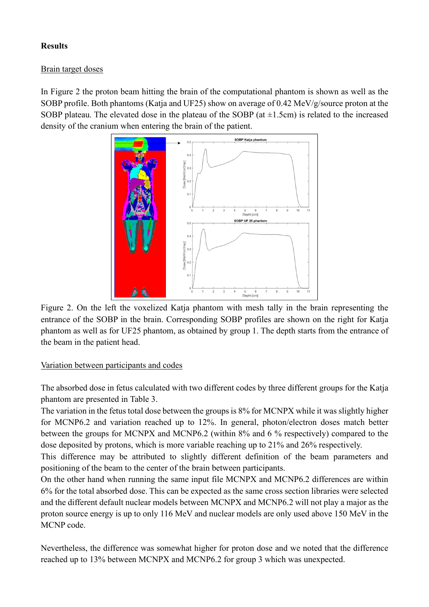# **Results**

# Brain target doses

In Figure 2 the proton beam hitting the brain of the computational phantom is shown as well as the SOBP profile. Both phantoms (Katja and UF25) show on average of 0.42 MeV/g/source proton at the SOBP plateau. The elevated dose in the plateau of the SOBP (at  $\pm 1.5$ cm) is related to the increased density of the cranium when entering the brain of the patient.



Figure 2. On the left the voxelized Katja phantom with mesh tally in the brain representing the entrance of the SOBP in the brain. Corresponding SOBP profiles are shown on the right for Katja phantom as well as for UF25 phantom, as obtained by group 1. The depth starts from the entrance of the beam in the patient head.

# Variation between participants and codes

The absorbed dose in fetus calculated with two different codes by three different groups for the Katja phantom are presented in Table 3.

The variation in the fetus total dose between the groups is 8% for MCNPX while it was slightly higher for MCNP6.2 and variation reached up to 12%. In general, photon/electron doses match better between the groups for MCNPX and MCNP6.2 (within 8% and 6 % respectively) compared to the dose deposited by protons, which is more variable reaching up to 21% and 26% respectively.

This difference may be attributed to slightly different definition of the beam parameters and positioning of the beam to the center of the brain between participants.

On the other hand when running the same input file MCNPX and MCNP6.2 differences are within 6% for the total absorbed dose. This can be expected as the same cross section libraries were selected and the different default nuclear models between MCNPX and MCNP6.2 will not play a major as the proton source energy is up to only 116 MeV and nuclear models are only used above 150 MeV in the MCNP code.

Nevertheless, the difference was somewhat higher for proton dose and we noted that the difference reached up to 13% between MCNPX and MCNP6.2 for group 3 which was unexpected.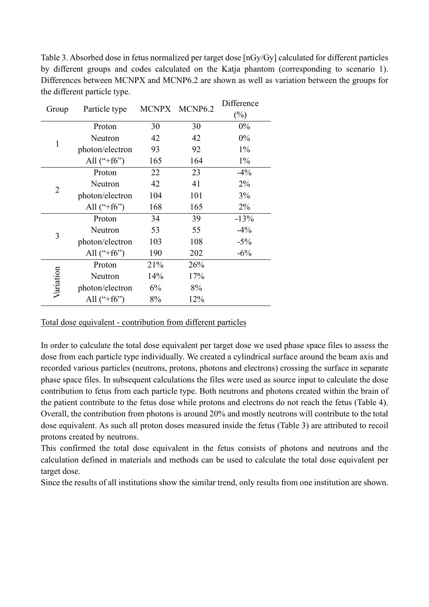Table 3. Absorbed dose in fetus normalized per target dose [nGy/Gy] calculated for different particles by different groups and codes calculated on the Katja phantom (corresponding to scenario 1). Differences between MCNPX and MCNP6.2 are shown as well as variation between the groups for the different particle type.

| Group          | Particle type   |               |                                                                                                                                                                                                   | Difference |
|----------------|-----------------|---------------|---------------------------------------------------------------------------------------------------------------------------------------------------------------------------------------------------|------------|
|                |                 |               |                                                                                                                                                                                                   | $(\%)$     |
|                | Proton          | 30            | 30                                                                                                                                                                                                | $0\%$      |
| 1              | Neutron         | 42            | 42                                                                                                                                                                                                | 0%         |
|                | photon/electron | 93            | 92                                                                                                                                                                                                | $1\%$      |
|                | All $(*+f6")$   | 165           | 164<br>$1\%$<br>22<br>23<br>42<br>41<br>$2\%$<br>101<br>104<br>3%<br>165<br>$2\%$<br>168<br>34<br>39<br>53<br>55<br>103<br>108<br>190<br>202<br>21%<br>26%<br>14%<br>17%<br>6%<br>8%<br>8%<br>12% |            |
|                | Proton          |               |                                                                                                                                                                                                   | $-4\%$     |
| $\overline{2}$ | Neutron         |               |                                                                                                                                                                                                   |            |
|                | photon/electron |               |                                                                                                                                                                                                   |            |
|                | All $(*+f6")$   | MCNPX MCNP6.2 |                                                                                                                                                                                                   |            |
|                | Proton          |               |                                                                                                                                                                                                   | $-13%$     |
| 3              | Neutron         |               |                                                                                                                                                                                                   | $-4\%$     |
|                | photon/electron |               |                                                                                                                                                                                                   | $-5\%$     |
|                | All $(*+f6")$   |               | $-6\%$                                                                                                                                                                                            |            |
|                | Proton          |               |                                                                                                                                                                                                   |            |
|                | Neutron         |               |                                                                                                                                                                                                   |            |
| Variation      | photon/electron |               |                                                                                                                                                                                                   |            |
|                | All $(*+f6")$   |               |                                                                                                                                                                                                   |            |

### Total dose equivalent - contribution from different particles

In order to calculate the total dose equivalent per target dose we used phase space files to assess the dose from each particle type individually. We created a cylindrical surface around the beam axis and recorded various particles (neutrons, protons, photons and electrons) crossing the surface in separate phase space files. In subsequent calculations the files were used as source input to calculate the dose contribution to fetus from each particle type. Both neutrons and photons created within the brain of the patient contribute to the fetus dose while protons and electrons do not reach the fetus (Table 4). Overall, the contribution from photons is around 20% and mostly neutrons will contribute to the total dose equivalent. As such all proton doses measured inside the fetus (Table 3) are attributed to recoil protons created by neutrons.

This confirmed the total dose equivalent in the fetus consists of photons and neutrons and the calculation defined in materials and methods can be used to calculate the total dose equivalent per target dose.

Since the results of all institutions show the similar trend, only results from one institution are shown.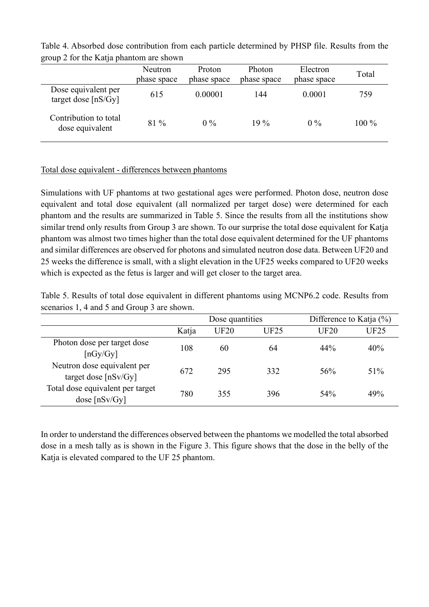| $\mu$ and $\mu$ and $\mu$ and $\mu$ and $\mu$ and $\mu$ and $\mu$ |                        |                       |                       |                         |         |  |  |  |  |  |  |
|-------------------------------------------------------------------|------------------------|-----------------------|-----------------------|-------------------------|---------|--|--|--|--|--|--|
|                                                                   | Neutron<br>phase space | Proton<br>phase space | Photon<br>phase space | Electron<br>phase space | Total   |  |  |  |  |  |  |
|                                                                   |                        |                       |                       |                         |         |  |  |  |  |  |  |
| Dose equivalent per<br>target dose $[nS/Gy]$                      | 615                    | 0.00001               | 144                   | 0.0001                  | 759     |  |  |  |  |  |  |
| Contribution to total<br>dose equivalent                          | $81\%$                 | $0\%$                 | $19\%$                | $0\%$                   | $100\%$ |  |  |  |  |  |  |

Table 4. Absorbed dose contribution from each particle determined by PHSP file. Results from the group 2 for the Katja phantom are shown

#### Total dose equivalent - differences between phantoms

Simulations with UF phantoms at two gestational ages were performed. Photon dose, neutron dose equivalent and total dose equivalent (all normalized per target dose) were determined for each phantom and the results are summarized in Table 5. Since the results from all the institutions show similar trend only results from Group 3 are shown. To our surprise the total dose equivalent for Katja phantom was almost two times higher than the total dose equivalent determined for the UF phantoms and similar differences are observed for photons and simulated neutron dose data. Between UF20 and 25 weeks the difference is small, with a slight elevation in the UF25 weeks compared to UF20 weeks which is expected as the fetus is larger and will get closer to the target area.

Table 5. Results of total dose equivalent in different phantoms using MCNP6.2 code. Results from scenarios 1, 4 and 5 and Group 3 are shown.

|                                                       |       | Dose quantities |             | Difference to Katja $(\%)$ |             |
|-------------------------------------------------------|-------|-----------------|-------------|----------------------------|-------------|
|                                                       | Katja | <b>UF20</b>     | <b>UF25</b> | <b>UF20</b>                | <b>UF25</b> |
| Photon dose per target dose<br>$\lceil nGy/Gy \rceil$ | 108   | 60              | 64          | 44%                        | 40%         |
| Neutron dose equivalent per<br>target dose $[nSv/Gy]$ | 672   | 295             | 332         | 56%                        | 51%         |
| Total dose equivalent per target<br>dose $[nSv/Gy]$   | 780   | 355             | 396         | 54%                        | 49%         |

In order to understand the differences observed between the phantoms we modelled the total absorbed dose in a mesh tally as is shown in the Figure 3. This figure shows that the dose in the belly of the Katja is elevated compared to the UF 25 phantom.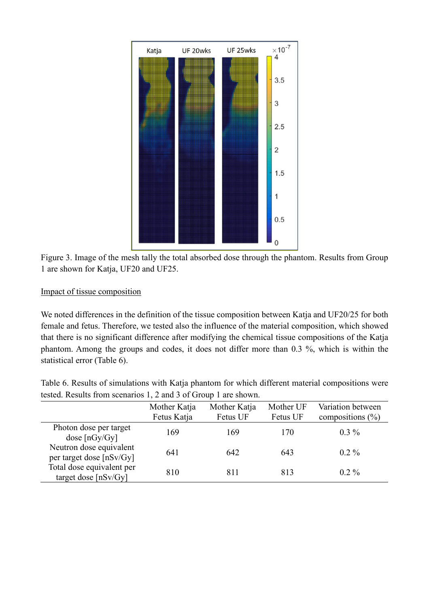

Figure 3. Image of the mesh tally the total absorbed dose through the phantom. Results from Group 1 are shown for Katja, UF20 and UF25.

## Impact of tissue composition

We noted differences in the definition of the tissue composition between Katja and UF20/25 for both female and fetus. Therefore, we tested also the influence of the material composition, which showed that there is no significant difference after modifying the chemical tissue compositions of the Katja phantom. Among the groups and codes, it does not differ more than 0.3 %, which is within the statistical error (Table 6).

Table 6. Results of simulations with Katja phantom for which different material compositions were tested. Results from scenarios 1, 2 and 3 of Group 1 are shown.

|                                                     | Mother Katja<br>Fetus Katja | Mother Katja<br>Fetus UF | Mother UF<br>Fetus UF | Variation between<br>compositions $(\% )$ |
|-----------------------------------------------------|-----------------------------|--------------------------|-----------------------|-------------------------------------------|
| Photon dose per target<br>dose $[nGy/Gy]$           | 169                         | 169                      | 170                   | $0.3\%$                                   |
| Neutron dose equivalent<br>per target dose [nSv/Gy] | 641                         | 642                      | 643                   | $0.2\%$                                   |
| Total dose equivalent per<br>target dose $[nSv/Gy]$ | 810                         | 811                      | 813                   | $0.2\%$                                   |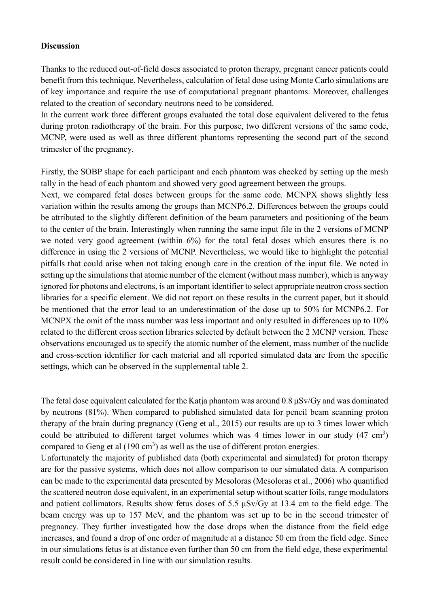#### **Discussion**

Thanks to the reduced out-of-field doses associated to proton therapy, pregnant cancer patients could benefit from this technique. Nevertheless, calculation of fetal dose using Monte Carlo simulations are of key importance and require the use of computational pregnant phantoms. Moreover, challenges related to the creation of secondary neutrons need to be considered.

In the current work three different groups evaluated the total dose equivalent delivered to the fetus during proton radiotherapy of the brain. For this purpose, two different versions of the same code, MCNP, were used as well as three different phantoms representing the second part of the second trimester of the pregnancy.

Firstly, the SOBP shape for each participant and each phantom was checked by setting up the mesh tally in the head of each phantom and showed very good agreement between the groups.

Next, we compared fetal doses between groups for the same code. MCNPX shows slightly less variation within the results among the groups than MCNP6.2. Differences between the groups could be attributed to the slightly different definition of the beam parameters and positioning of the beam to the center of the brain. Interestingly when running the same input file in the 2 versions of MCNP we noted very good agreement (within  $6\%$ ) for the total fetal doses which ensures there is no difference in using the 2 versions of MCNP. Nevertheless, we would like to highlight the potential pitfalls that could arise when not taking enough care in the creation of the input file. We noted in setting up the simulations that atomic number of the element (without mass number), which is anyway ignored for photons and electrons, is an important identifier to select appropriate neutron cross section libraries for a specific element. We did not report on these results in the current paper, but it should be mentioned that the error lead to an underestimation of the dose up to 50% for MCNP6.2. For MCNPX the omit of the mass number was less important and only resulted in differences up to 10% related to the different cross section libraries selected by default between the 2 MCNP version. These observations encouraged us to specify the atomic number of the element, mass number of the nuclide and cross-section identifier for each material and all reported simulated data are from the specific settings, which can be observed in the supplemental table 2.

The fetal dose equivalent calculated for the Katja phantom was around  $0.8 \mu\text{Sv/Gy}$  and was dominated by neutrons (81%). When compared to published simulated data for pencil beam scanning proton therapy of the brain during pregnancy (Geng et al., 2015) our results are up to 3 times lower which could be attributed to different target volumes which was 4 times lower in our study  $(47 \text{ cm}^3)$ compared to Geng et al  $(190 \text{ cm}^3)$  as well as the use of different proton energies.

Unfortunately the majority of published data (both experimental and simulated) for proton therapy are for the passive systems, which does not allow comparison to our simulated data. A comparison can be made to the experimental data presented by Mesoloras (Mesoloras et al., 2006) who quantified the scattered neutron dose equivalent, in an experimental setup without scatter foils, range modulators and patient collimators. Results show fetus doses of 5.5 μSv/Gy at 13.4 cm to the field edge. The beam energy was up to 157 MeV, and the phantom was set up to be in the second trimester of pregnancy. They further investigated how the dose drops when the distance from the field edge increases, and found a drop of one order of magnitude at a distance 50 cm from the field edge. Since in our simulations fetus is at distance even further than 50 cm from the field edge, these experimental result could be considered in line with our simulation results.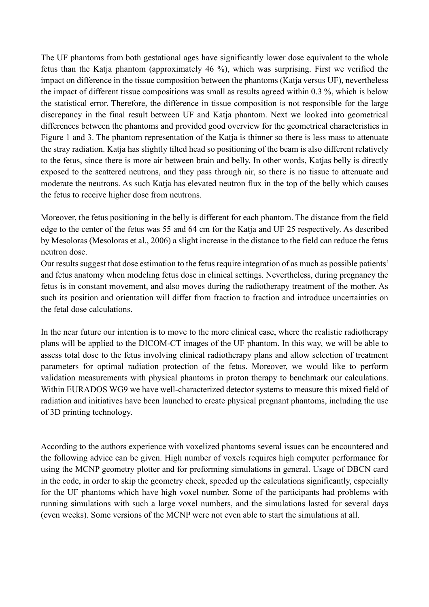The UF phantoms from both gestational ages have significantly lower dose equivalent to the whole fetus than the Katja phantom (approximately 46 %), which was surprising. First we verified the impact on difference in the tissue composition between the phantoms (Katja versus UF), nevertheless the impact of different tissue compositions was small as results agreed within 0.3 %, which is below the statistical error. Therefore, the difference in tissue composition is not responsible for the large discrepancy in the final result between UF and Katja phantom. Next we looked into geometrical differences between the phantoms and provided good overview for the geometrical characteristics in Figure 1 and 3. The phantom representation of the Katja is thinner so there is less mass to attenuate the stray radiation. Katja has slightly tilted head so positioning of the beam is also different relatively to the fetus, since there is more air between brain and belly. In other words, Katjas belly is directly exposed to the scattered neutrons, and they pass through air, so there is no tissue to attenuate and moderate the neutrons. As such Katja has elevated neutron flux in the top of the belly which causes the fetus to receive higher dose from neutrons.

Moreover, the fetus positioning in the belly is different for each phantom. The distance from the field edge to the center of the fetus was 55 and 64 cm for the Katja and UF 25 respectively. As described by Mesoloras (Mesoloras et al., 2006) a slight increase in the distance to the field can reduce the fetus neutron dose.

Our results suggest that dose estimation to the fetus require integration of as much as possible patients' and fetus anatomy when modeling fetus dose in clinical settings. Nevertheless, during pregnancy the fetus is in constant movement, and also moves during the radiotherapy treatment of the mother. As such its position and orientation will differ from fraction to fraction and introduce uncertainties on the fetal dose calculations.

In the near future our intention is to move to the more clinical case, where the realistic radiotherapy plans will be applied to the DICOM-CT images of the UF phantom. In this way, we will be able to assess total dose to the fetus involving clinical radiotherapy plans and allow selection of treatment parameters for optimal radiation protection of the fetus. Moreover, we would like to perform validation measurements with physical phantoms in proton therapy to benchmark our calculations. Within EURADOS WG9 we have well-characterized detector systems to measure this mixed field of radiation and initiatives have been launched to create physical pregnant phantoms, including the use of 3D printing technology.

According to the authors experience with voxelized phantoms several issues can be encountered and the following advice can be given. High number of voxels requires high computer performance for using the MCNP geometry plotter and for preforming simulations in general. Usage of DBCN card in the code, in order to skip the geometry check, speeded up the calculations significantly, especially for the UF phantoms which have high voxel number. Some of the participants had problems with running simulations with such a large voxel numbers, and the simulations lasted for several days (even weeks). Some versions of the MCNP were not even able to start the simulations at all.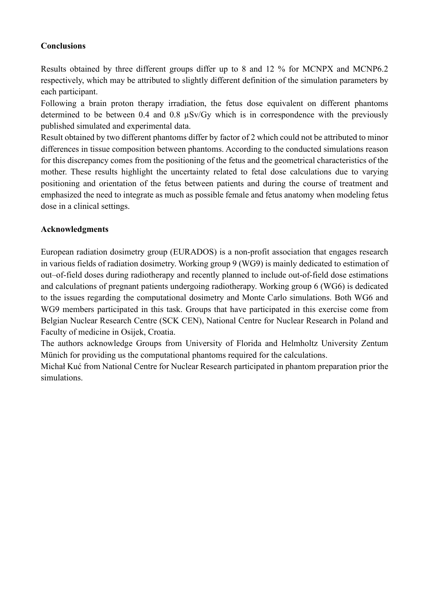## **Conclusions**

Results obtained by three different groups differ up to 8 and 12 % for MCNPX and MCNP6.2 respectively, which may be attributed to slightly different definition of the simulation parameters by each participant.

Following a brain proton therapy irradiation, the fetus dose equivalent on different phantoms determined to be between 0.4 and 0.8 µSv/Gy which is in correspondence with the previously published simulated and experimental data.

Result obtained by two different phantoms differ by factor of 2 which could not be attributed to minor differences in tissue composition between phantoms. According to the conducted simulations reason for this discrepancy comes from the positioning of the fetus and the geometrical characteristics of the mother. These results highlight the uncertainty related to fetal dose calculations due to varying positioning and orientation of the fetus between patients and during the course of treatment and emphasized the need to integrate as much as possible female and fetus anatomy when modeling fetus dose in a clinical settings.

## **Acknowledgments**

European radiation dosimetry group (EURADOS) is a non-profit association that engages research in various fields of radiation dosimetry. Working group 9 (WG9) is mainly dedicated to estimation of out–of-field doses during radiotherapy and recently planned to include out-of-field dose estimations and calculations of pregnant patients undergoing radiotherapy. Working group 6 (WG6) is dedicated to the issues regarding the computational dosimetry and Monte Carlo simulations. Both WG6 and WG9 members participated in this task. Groups that have participated in this exercise come from Belgian Nuclear Research Centre (SCK CEN), National Centre for Nuclear Research in Poland and Faculty of medicine in Osijek, Croatia.

The authors acknowledge Groups from University of Florida and Helmholtz University Zentum Münich for providing us the computational phantoms required for the calculations.

Michał Kuć from National Centre for Nuclear Research participated in phantom preparation prior the simulations.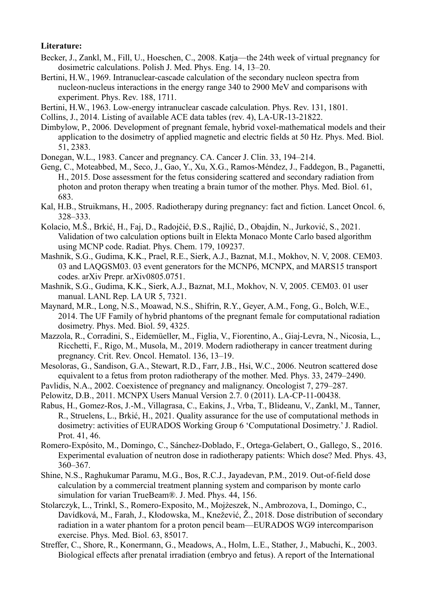#### **Literature:**

- Becker, J., Zankl, M., Fill, U., Hoeschen, C., 2008. Katja—the 24th week of virtual pregnancy for dosimetric calculations. Polish J. Med. Phys. Eng. 14, 13–20.
- Bertini, H.W., 1969. Intranuclear-cascade calculation of the secondary nucleon spectra from nucleon-nucleus interactions in the energy range 340 to 2900 MeV and comparisons with experiment. Phys. Rev. 188, 1711.
- Bertini, H.W., 1963. Low-energy intranuclear cascade calculation. Phys. Rev. 131, 1801.
- Collins, J., 2014. Listing of available ACE data tables (rev. 4), LA-UR-13-21822.
- Dimbylow, P., 2006. Development of pregnant female, hybrid voxel-mathematical models and their application to the dosimetry of applied magnetic and electric fields at 50 Hz. Phys. Med. Biol. 51, 2383.
- Donegan, W.L., 1983. Cancer and pregnancy. CA. Cancer J. Clin. 33, 194–214.
- Geng, C., Moteabbed, M., Seco, J., Gao, Y., Xu, X.G., Ramos-Méndez, J., Faddegon, B., Paganetti, H., 2015. Dose assessment for the fetus considering scattered and secondary radiation from photon and proton therapy when treating a brain tumor of the mother. Phys. Med. Biol. 61, 683.
- Kal, H.B., Struikmans, H., 2005. Radiotherapy during pregnancy: fact and fiction. Lancet Oncol. 6, 328–333.
- Kolacio, M.Š., Brkić, H., Faj, D., Radojčić, Đ.S., Rajlić, D., Obajdin, N., Jurković, S., 2021. Validation of two calculation options built in Elekta Monaco Monte Carlo based algorithm using MCNP code. Radiat. Phys. Chem. 179, 109237.
- Mashnik, S.G., Gudima, K.K., Prael, R.E., Sierk, A.J., Baznat, M.I., Mokhov, N. V, 2008. CEM03. 03 and LAQGSM03. 03 event generators for the MCNP6, MCNPX, and MARS15 transport codes. arXiv Prepr. arXiv0805.0751.
- Mashnik, S.G., Gudima, K.K., Sierk, A.J., Baznat, M.I., Mokhov, N. V, 2005. CEM03. 01 user manual. LANL Rep. LA UR 5, 7321.
- Maynard, M.R., Long, N.S., Moawad, N.S., Shifrin, R.Y., Geyer, A.M., Fong, G., Bolch, W.E., 2014. The UF Family of hybrid phantoms of the pregnant female for computational radiation dosimetry. Phys. Med. Biol. 59, 4325.
- Mazzola, R., Corradini, S., Eidemüeller, M., Figlia, V., Fiorentino, A., Giaj-Levra, N., Nicosia, L., Ricchetti, F., Rigo, M., Musola, M., 2019. Modern radiotherapy in cancer treatment during pregnancy. Crit. Rev. Oncol. Hematol. 136, 13–19.
- Mesoloras, G., Sandison, G.A., Stewart, R.D., Farr, J.B., Hsi, W.C., 2006. Neutron scattered dose equivalent to a fetus from proton radiotherapy of the mother. Med. Phys. 33, 2479–2490.
- Pavlidis, N.A., 2002. Coexistence of pregnancy and malignancy. Oncologist 7, 279–287.
- Pelowitz, D.B., 2011. MCNPX Users Manual Version 2.7. 0 (2011). LA-CP-11-00438.
- Rabus, H., Gomez-Ros, J.-M., Villagrasa, C., Eakins, J., Vrba, T., Blideanu, V., Zankl, M., Tanner, R., Struelens, L., Brkić, H., 2021. Quality assurance for the use of computational methods in dosimetry: activities of EURADOS Working Group 6 'Computational Dosimetry.' J. Radiol. Prot. 41, 46.
- Romero‐Expósito, M., Domingo, C., Sánchez‐Doblado, F., Ortega‐Gelabert, O., Gallego, S., 2016. Experimental evaluation of neutron dose in radiotherapy patients: Which dose? Med. Phys. 43, 360–367.
- Shine, N.S., Raghukumar Paramu, M.G., Bos, R.C.J., Jayadevan, P.M., 2019. Out-of-field dose calculation by a commercial treatment planning system and comparison by monte carlo simulation for varian TrueBeam®. J. Med. Phys. 44, 156.
- Stolarczyk, L., Trinkl, S., Romero-Exposito, M., Mojżeszek, N., Ambrozova, I., Domingo, C., Davídková, M., Farah, J., Kłodowska, M., Knežević, Ž., 2018. Dose distribution of secondary radiation in a water phantom for a proton pencil beam—EURADOS WG9 intercomparison exercise. Phys. Med. Biol. 63, 85017.
- Streffer, C., Shore, R., Konermann, G., Meadows, A., Holm, L.E., Stather, J., Mabuchi, K., 2003. Biological effects after prenatal irradiation (embryo and fetus). A report of the International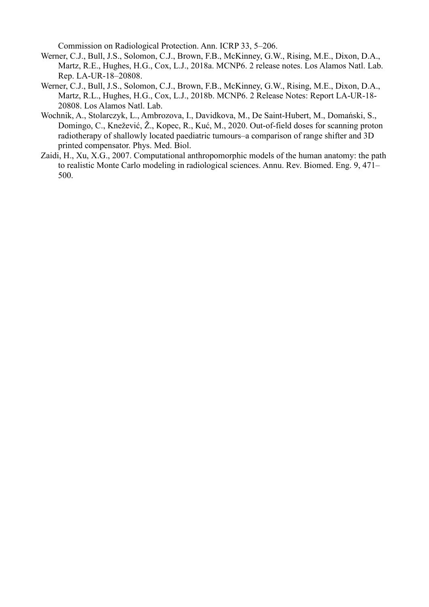Commission on Radiological Protection. Ann. ICRP 33, 5–206.

- Werner, C.J., Bull, J.S., Solomon, C.J., Brown, F.B., McKinney, G.W., Rising, M.E., Dixon, D.A., Martz, R.E., Hughes, H.G., Cox, L.J., 2018a. MCNP6. 2 release notes. Los Alamos Natl. Lab. Rep. LA-UR-18–20808.
- Werner, C.J., Bull, J.S., Solomon, C.J., Brown, F.B., McKinney, G.W., Rising, M.E., Dixon, D.A., Martz, R.L., Hughes, H.G., Cox, L.J., 2018b. MCNP6. 2 Release Notes: Report LA-UR-18- 20808. Los Alamos Natl. Lab.
- Wochnik, A., Stolarczyk, L., Ambrozova, I., Davidkova, M., De Saint-Hubert, M., Domański, S., Domingo, C., Knežević, Ž., Kopec, R., Kuć, M., 2020. Out-of-field doses for scanning proton radiotherapy of shallowly located paediatric tumours–a comparison of range shifter and 3D printed compensator. Phys. Med. Biol.
- Zaidi, H., Xu, X.G., 2007. Computational anthropomorphic models of the human anatomy: the path to realistic Monte Carlo modeling in radiological sciences. Annu. Rev. Biomed. Eng. 9, 471– 500.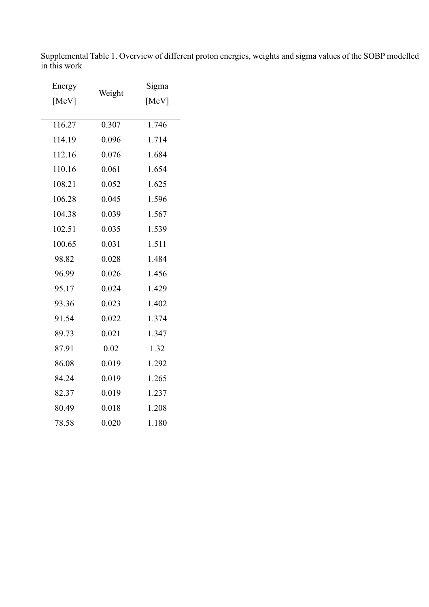Supplemental Table 1. Overview of different proton energies, weights and sigma values of the SOBP modelled in this work

| Energy |        | Sigma |
|--------|--------|-------|
| [MeV]  | Weight | [MeV] |
|        |        |       |
| 116.27 | 0.307  | 1.746 |
| 114.19 | 0.096  | 1.714 |
| 112.16 | 0.076  | 1.684 |
| 110.16 | 0.061  | 1.654 |
| 108.21 | 0.052  | 1.625 |
| 106.28 | 0.045  | 1.596 |
| 104.38 | 0.039  | 1.567 |
| 102.51 | 0.035  | 1.539 |
| 100.65 | 0.031  | 1.511 |
| 98.82  | 0.028  | 1.484 |
| 96.99  | 0.026  | 1.456 |
| 95.17  | 0.024  | 1.429 |
| 93.36  | 0.023  | 1.402 |
| 91.54  | 0.022  | 1.374 |
| 89.73  | 0.021  | 1.347 |
| 87.91  | 0.02   | 1.32  |
| 86.08  | 0.019  | 1.292 |
| 84.24  | 0.019  | 1.265 |
| 82.37  | 0.019  | 1.237 |
| 80.49  | 0.018  | 1.208 |
| 78.58  | 0.020  | 1.180 |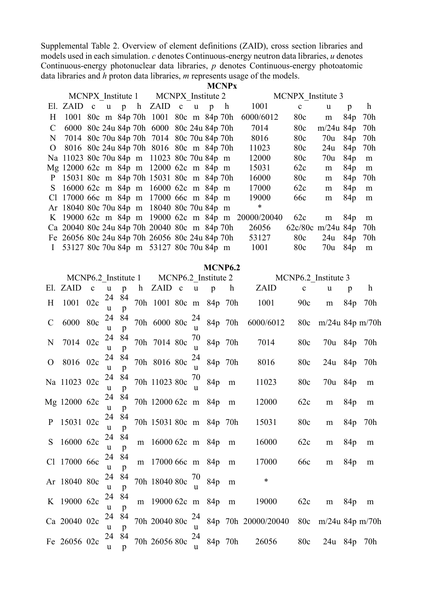Supplemental Table 2. Overview of element definitions (ZAID), cross section libraries and models used in each simulation. *c* denotes Continuous-energy neutron data libraries, *u* denotes Continuous-energy photonuclear data libraries, *p* denotes Continuous-energy photoatomic data libraries and *h* proton data libraries, *m* represents usage of the models.

|              |  |  |                                                |  |   | <b>MCNPx</b> |                                                   |                     |             |                 |     |
|--------------|--|--|------------------------------------------------|--|---|--------------|---------------------------------------------------|---------------------|-------------|-----------------|-----|
|              |  |  | MCNPX Institute 1 MCNPX Institute 2            |  |   |              |                                                   | MCNPX Institute 3   |             |                 |     |
|              |  |  | El. ZAID c u p h ZAID c u                      |  | p |              | 1001                                              | $\mathbf{c}$        | u           | p               | h   |
| H.           |  |  | 1001 80c m 84p 70h 1001 80c m 84p 70h          |  |   |              | 6000/6012                                         | 80c                 | m           | 84p             | 70h |
| C            |  |  | 6000 80c 24u 84p 70h 6000 80c 24u 84p 70h      |  |   |              | 7014                                              | 80c                 | $m/24u$ 84p |                 | 70h |
|              |  |  | N 7014 80c 70u 84p 70h 7014 80c 70u 84p 70h    |  |   |              | 8016                                              | 80c                 | 70u 84p     |                 | 70h |
| O            |  |  | 8016 80c 24u 84p 70h 8016 80c m 84p 70h        |  |   |              | 11023                                             | 80c                 | 24u         | 84 <sub>p</sub> | 70h |
|              |  |  | Na 11023 80c 70u 84p m 11023 80c 70u 84p m     |  |   |              | 12000                                             | 80c                 | 70u         | 84p             | m   |
|              |  |  | Mg 12000 62c m 84p m 12000 62c m 84p m         |  |   |              | 15031                                             | 62c                 | m           | 84p             | m   |
|              |  |  | P 15031 80c m 84p 70h 15031 80c m 84p 70h      |  |   |              | 16000                                             | 80c                 | m           | 84p             | 70h |
|              |  |  | S 16000 62c m 84p m 16000 62c m 84p m          |  |   |              | 17000                                             | 62c                 | m           | 84p             | m   |
|              |  |  | Cl 17000 66c m 84p m 17000 66c m 84p m         |  |   |              | 19000                                             | 66 <sub>c</sub>     | m           | 84p             | m   |
|              |  |  | Ar 18040 80c 70u 84p m 18040 80c 70u 84p m     |  |   |              | ∗                                                 |                     |             |                 |     |
|              |  |  |                                                |  |   |              | K 19000 62c m 84p m 19000 62c m 84p m 20000/20040 | 62c                 | m           | 84 <sub>p</sub> | m   |
|              |  |  | Ca 20040 80c 24u 84p 70h 20040 80c m 84p 70h   |  |   |              | 26056                                             | $62c/80c$ m/24u 84p |             |                 | 70h |
|              |  |  | Fe 26056 80c 24u 84p 70h 26056 80c 24u 84p 70h |  |   |              | 53127                                             | 80c                 | $24u$ 84p   |                 | 70h |
| $\mathbf{I}$ |  |  | 53127 80c 70u 84p m 53127 80c 70u 84p m        |  |   |              | 1001                                              | 80c                 | 70u         | 84p             | m   |
|              |  |  |                                                |  |   |              |                                                   |                     |             |                 |     |

#### **MCNP6.2**

|               |              |              |                   |              |                                  |  |                    |                 |              | MCNP6.2 Institute 1 MCNP6.2 Institute 2 MCNP6.2 Institute 3 |             |                     |     |              |
|---------------|--------------|--------------|-------------------|--------------|----------------------------------|--|--------------------|-----------------|--------------|-------------------------------------------------------------|-------------|---------------------|-----|--------------|
|               | El. ZAID     | $\mathbf{c}$ | u                 | $\mathbf{p}$ | h ZAID c                         |  | $\mathbf{u}$       | $\mathbf{p}$    | $\mathbf{h}$ | ZAID                                                        | $\mathbf c$ | u                   | p   | $\mathbf{h}$ |
| H             | 1001 02c     |              | 24<br>u           | 84<br>p      | 70h 1001 80c m 84p 70h           |  |                    |                 |              | 1001                                                        | 90c         | m                   | 84p | 70h          |
| $\mathcal{C}$ | 6000 80c     |              | <b>u</b>          | 24 84<br>p   | 70h 6000 80c                     |  | 24<br>$\mathbf{u}$ | 84p 70h         |              | 6000/6012                                                   | 80c         | $m/24u$ 84p $m/70h$ |     |              |
| $\mathbf N$   | 7014 02c     |              | 24 84<br>u        | p            | 70h 7014 80c                     |  | u                  | $70$ 84p 70h    |              | 7014                                                        | 80c         | 70u 84p 70h         |     |              |
| $\mathcal{O}$ | 8016 02c     |              | 24 84<br>u        | p            | 70h 8016 80c                     |  | $\mathbf{u}$       | $24$ 84p 70h    |              | 8016                                                        | 80c         | 24u 84p 70h         |     |              |
|               | Na 11023 02c |              | <b>u</b>          | 24 84<br>p   | 70h 11023 80c                    |  | 70                 | 84 <sub>p</sub> | m            | 11023                                                       | 80c         | 70u 84p             |     | m            |
|               | Mg 12000 62c |              | 24 84<br>u        | p            | 70h 12000 62c m 84p              |  |                    |                 | m            | 12000                                                       | 62c         | m                   | 84p | m            |
|               | P 15031 02c  |              | 24 84<br>u        | p            | 70h 15031 80c m 84p 70h          |  |                    |                 |              | 15031                                                       | 80c         | m                   | 84p | 70h          |
|               | S 16000 62c  |              | 24 84<br><b>u</b> | p            | m 16000 62c m 84p m              |  |                    |                 |              | 16000                                                       | 62c         | m                   | 84p | m            |
|               | Cl 17000 66c |              | 24 84<br>u        | p            | m 17000 66c m 84p                |  |                    |                 | m            | 17000                                                       | 66c         | m                   | 84p | m            |
|               | Ar 18040 80c |              | 24<br>u           | 84<br>p      | 70h 18040 80c $\frac{70}{1}$ 84p |  |                    |                 | m            | $\ast$                                                      |             |                     |     |              |
|               | K 19000 62c  |              | 24 84<br>u        | p            | m 19000 62c m 84p m              |  |                    |                 |              | 19000                                                       | 62c         | m                   | 84p | m            |
|               | Ca 20040 02c |              | u                 | 24 84<br>p   |                                  |  | $\mathbf{u}$       |                 |              | 70h 20040 80c $\frac{24}{y}$ 84p 70h 20000/20040            |             | 80c m/24u 84p m/70h |     |              |
|               | Fe 26056 02c |              | 24 84<br>u        | p            | 70h 26056 80c                    |  | 24<br>$\mathbf{u}$ | 84p 70h         |              | 26056                                                       | 80c         | 24u 84p 70h         |     |              |